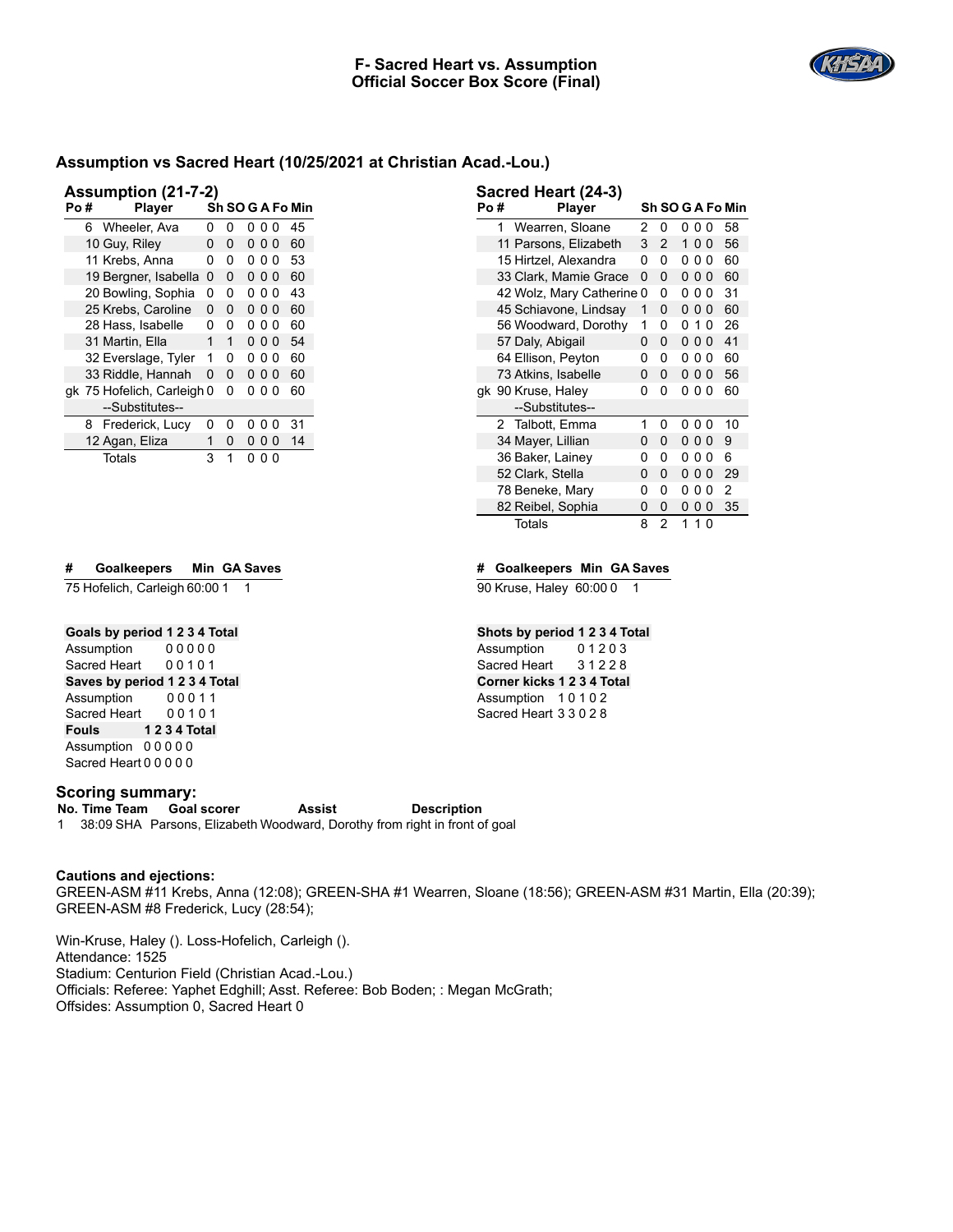

| <b>Assumption (21-7-2)</b> |  |  |
|----------------------------|--|--|
|                            |  |  |

| ASSUILIPUULI (41-1-4) |   |                            |   |   |     |     |   |                  |
|-----------------------|---|----------------------------|---|---|-----|-----|---|------------------|
| Po#                   |   | <b>Player</b>              |   |   |     |     |   | Sh SO G A Fo Min |
|                       | 6 | Wheeler, Ava               | 0 | 0 | 0   | ი ი |   | 45               |
|                       |   | 10 Guy, Riley              | 0 | 0 | 000 |     |   | 60               |
|                       |   | 11 Krebs, Anna             | 0 | 0 | 0   | ი ი |   | 53               |
|                       |   | 19 Bergner, Isabella       | 0 | 0 | 000 |     |   | 60               |
|                       |   | 20 Bowling, Sophia         | 0 | 0 | 0   | 00  |   | 43               |
|                       |   | 25 Krebs, Caroline         | 0 | 0 | 000 |     |   | 60               |
|                       |   | 28 Hass, Isabelle          | 0 | 0 | 0   | ი ი |   | 60               |
|                       |   | 31 Martin, Ella            | 1 | 1 | 000 |     |   | 54               |
|                       |   | 32 Everslage, Tyler        | 1 | 0 | 0   | 00  |   | 60               |
|                       |   | 33 Riddle, Hannah          | 0 | 0 | 0   | 00  |   | 60               |
|                       |   | gk 75 Hofelich, Carleigh 0 |   | 0 | 0   | 0   | 0 | 60               |
|                       |   | --Substitutes--            |   |   |     |     |   |                  |
|                       |   | 8 Frederick, Lucy          | 0 | 0 | 0   | 0   | 0 | 31               |
|                       |   | 12 Agan, Eliza             | 1 | 0 | 0   | 0   | 0 | 14               |
|                       |   | Totals                     | 3 | 1 | 0   | 0   | 0 |                  |

# **# Goalkeepers Min GA Saves**

75 Hofelich, Carleigh 60:00 1 1

# **Goals by period 1 2 3 4 Total**

Assumption 0 0 0 0 0 Sacred Heart 00101 **Saves by period 1 2 3 4 Total** Assumption 0 0 0 1 1 Sacred Heart 0 0 1 0 1 **Fouls 1 2 3 4 Total** Assumption 0 0 0 0 0 Sacred Heart 0 0 0 0 0

#### **Scoring summary:**

**No. Time Team Goal scorer Assist Description** 1 38:09 SHA Parsons, Elizabeth Woodward, Dorothy from right in front of goal

#### **Cautions and ejections:**

GREEN-ASM #11 Krebs, Anna (12:08); GREEN-SHA #1 Wearren, Sloane (18:56); GREEN-ASM #31 Martin, Ella (20:39); GREEN-ASM #8 Frederick, Lucy (28:54);

Win-Kruse, Haley (). Loss-Hofelich, Carleigh (). Attendance: 1525 Stadium: Centurion Field (Christian Acad.-Lou.) Officials: Referee: Yaphet Edghill; Asst. Referee: Bob Boden; : Megan McGrath; Offsides: Assumption 0, Sacred Heart 0

| Po # |   | Player                  |   |   |   |                |   | Sh SO G A Fo Min |
|------|---|-------------------------|---|---|---|----------------|---|------------------|
|      | 1 | Wearren, Sloane         | 2 | 0 | 0 | 00             |   | 58               |
|      |   | 11 Parsons, Elizabeth   | 3 | 2 | 1 | 00             |   | 56               |
|      |   | 15 Hirtzel, Alexandra   | 0 | 0 | 0 | 00             |   | 60               |
|      |   | 33 Clark, Mamie Grace   | 0 | 0 |   | 000            |   | 60               |
|      |   | 42 Wolz, Mary Catherine | 0 | 0 | 0 | 0              | 0 | 31               |
|      |   | 45 Schiavone, Lindsay   | 1 | 0 | 0 | $\Omega$       | 0 | 60               |
|      |   | 56 Woodward, Dorothy    | 1 | 0 | 0 | 1              | 0 | 26               |
|      |   | 57 Daly, Abigail        | 0 | 0 | 0 | 0 <sub>0</sub> |   | 41               |
|      |   | 64 Ellison, Peyton      | 0 | 0 | 0 | 00             |   | 60               |
|      |   | 73 Atkins, Isabelle     | 0 | 0 |   | 000            |   | 56               |
|      |   | gk 90 Kruse, Haley      | 0 | 0 | 0 | 00             |   | 60               |
|      |   | --Substitutes--         |   |   |   |                |   |                  |
|      |   | 2 Talbott, Emma         | 1 | n | n | U              | 0 | 10               |
|      |   | 34 Mayer, Lillian       | 0 | 0 | 0 | 00             |   | 9                |
|      |   | 36 Baker, Lainey        | 0 | 0 | 0 | 00             |   | 6                |
|      |   | 52 Clark, Stella        | 0 | 0 | 0 | 00             |   | 29               |
|      |   | 78 Beneke, Mary         | 0 | 0 | 0 | 0              | 0 | 2                |
|      |   | 82 Reibel, Sophia       | 0 | 0 | 0 | 0              | 0 | 35               |
|      |   | <b>Totals</b>           | 8 | 2 | 1 | 10             |   |                  |

## **# Goalkeepers Min GA Saves**

90 Kruse, Haley 60:00 0 1

**Sacred Heart (24-3)**

## **Shots by period 1 2 3 4 Total**

Assumption 0 1 2 0 3 Sacred Heart 3 1 2 2 8 **Corner kicks 1 2 3 4 Total** Assumption 1 0 1 0 2 Sacred Heart 3 3 0 2 8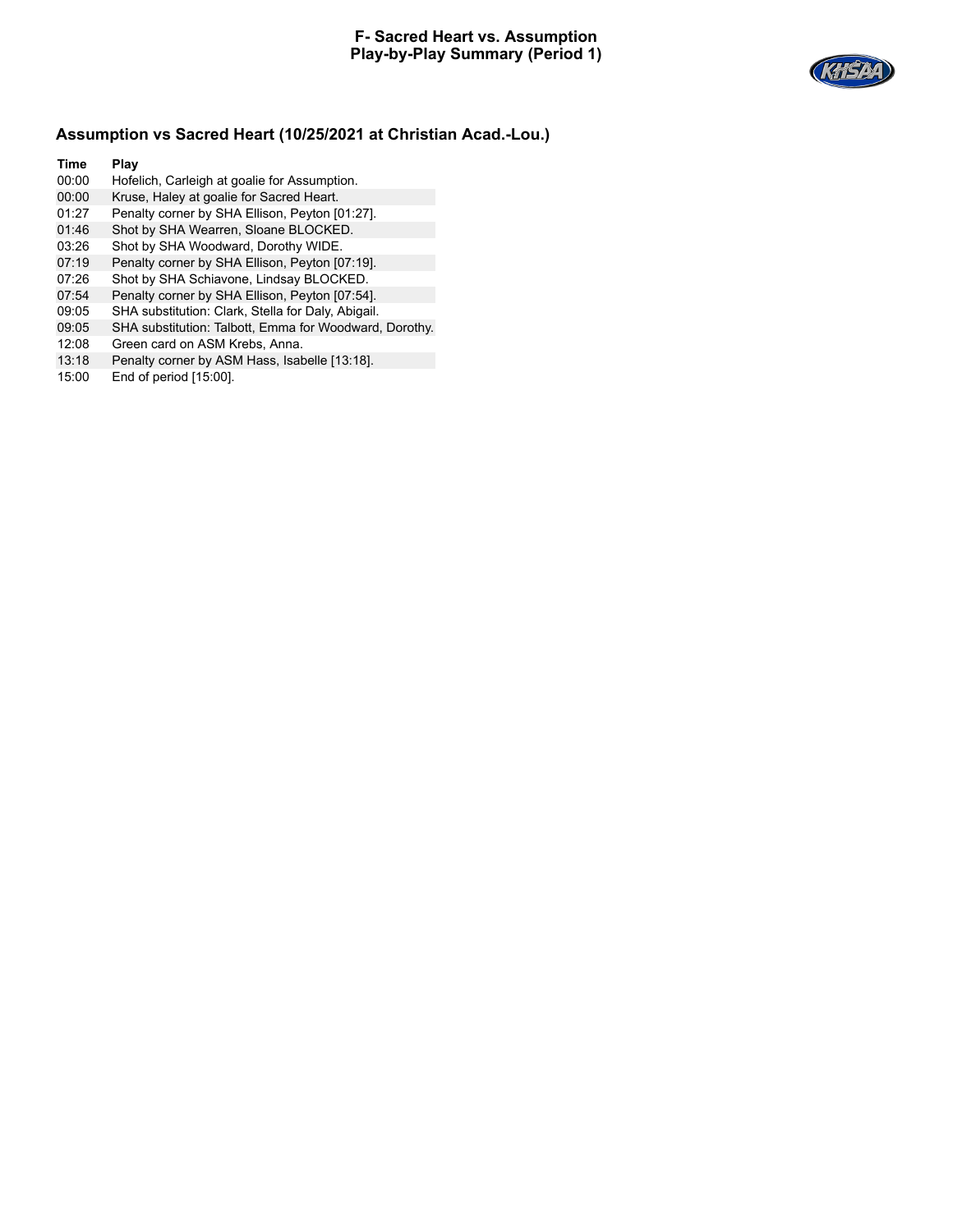

- 00:00 Hofelich, Carleigh at goalie for Assumption.
- 00:00 Kruse, Haley at goalie for Sacred Heart.
- 01:27 Penalty corner by SHA Ellison, Peyton [01:27].
- 01:46 Shot by SHA Wearren, Sloane BLOCKED.
- 03:26 Shot by SHA Woodward, Dorothy WIDE.
- 07:19 Penalty corner by SHA Ellison, Peyton [07:19].
- 07:26 Shot by SHA Schiavone, Lindsay BLOCKED.
- 07:54 Penalty corner by SHA Ellison, Peyton [07:54].
- 09:05 SHA substitution: Clark, Stella for Daly, Abigail.
- 09:05 SHA substitution: Talbott, Emma for Woodward, Dorothy.
- 12:08 Green card on ASM Krebs, Anna.
- 13:18 Penalty corner by ASM Hass, Isabelle [13:18].
- 15:00 End of period [15:00].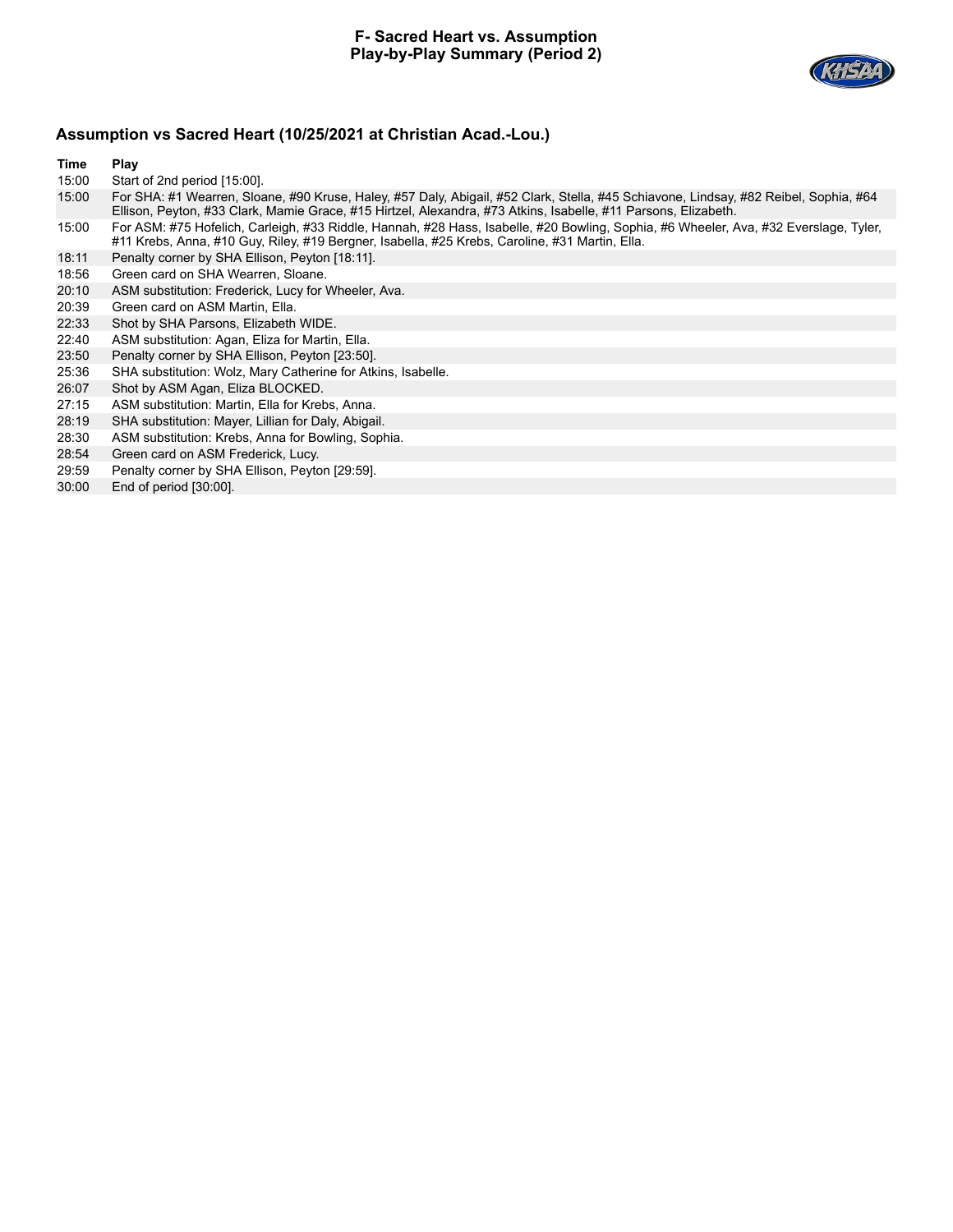

- 15:00 Start of 2nd period [15:00].
- 15:00 For SHA: #1 Wearren, Sloane, #90 Kruse, Haley, #57 Daly, Abigail, #52 Clark, Stella, #45 Schiavone, Lindsay, #82 Reibel, Sophia, #64 Ellison, Peyton, #33 Clark, Mamie Grace, #15 Hirtzel, Alexandra, #73 Atkins, Isabelle, #11 Parsons, Elizabeth.
- 15:00 For ASM: #75 Hofelich, Carleigh, #33 Riddle, Hannah, #28 Hass, Isabelle, #20 Bowling, Sophia, #6 Wheeler, Ava, #32 Everslage, Tyler, #11 Krebs, Anna, #10 Guy, Riley, #19 Bergner, Isabella, #25 Krebs, Caroline, #31 Martin, Ella.
- 18:11 Penalty corner by SHA Ellison, Peyton [18:11].
- 18:56 Green card on SHA Wearren, Sloane.
- 20:10 ASM substitution: Frederick, Lucy for Wheeler, Ava.
- 20:39 Green card on ASM Martin, Ella.
- 22:33 Shot by SHA Parsons, Elizabeth WIDE.
- 22:40 ASM substitution: Agan, Eliza for Martin, Ella.
- 23:50 Penalty corner by SHA Ellison, Peyton [23:50].
- 25:36 SHA substitution: Wolz, Mary Catherine for Atkins, Isabelle.
- 26:07 Shot by ASM Agan, Eliza BLOCKED.
- 27:15 ASM substitution: Martin, Ella for Krebs, Anna.
- 28:19 SHA substitution: Mayer, Lillian for Daly, Abigail.
- 28:30 ASM substitution: Krebs, Anna for Bowling, Sophia.
- 28:54 Green card on ASM Frederick, Lucy.
- 29:59 Penalty corner by SHA Ellison, Peyton [29:59].
- 30:00 End of period [30:00].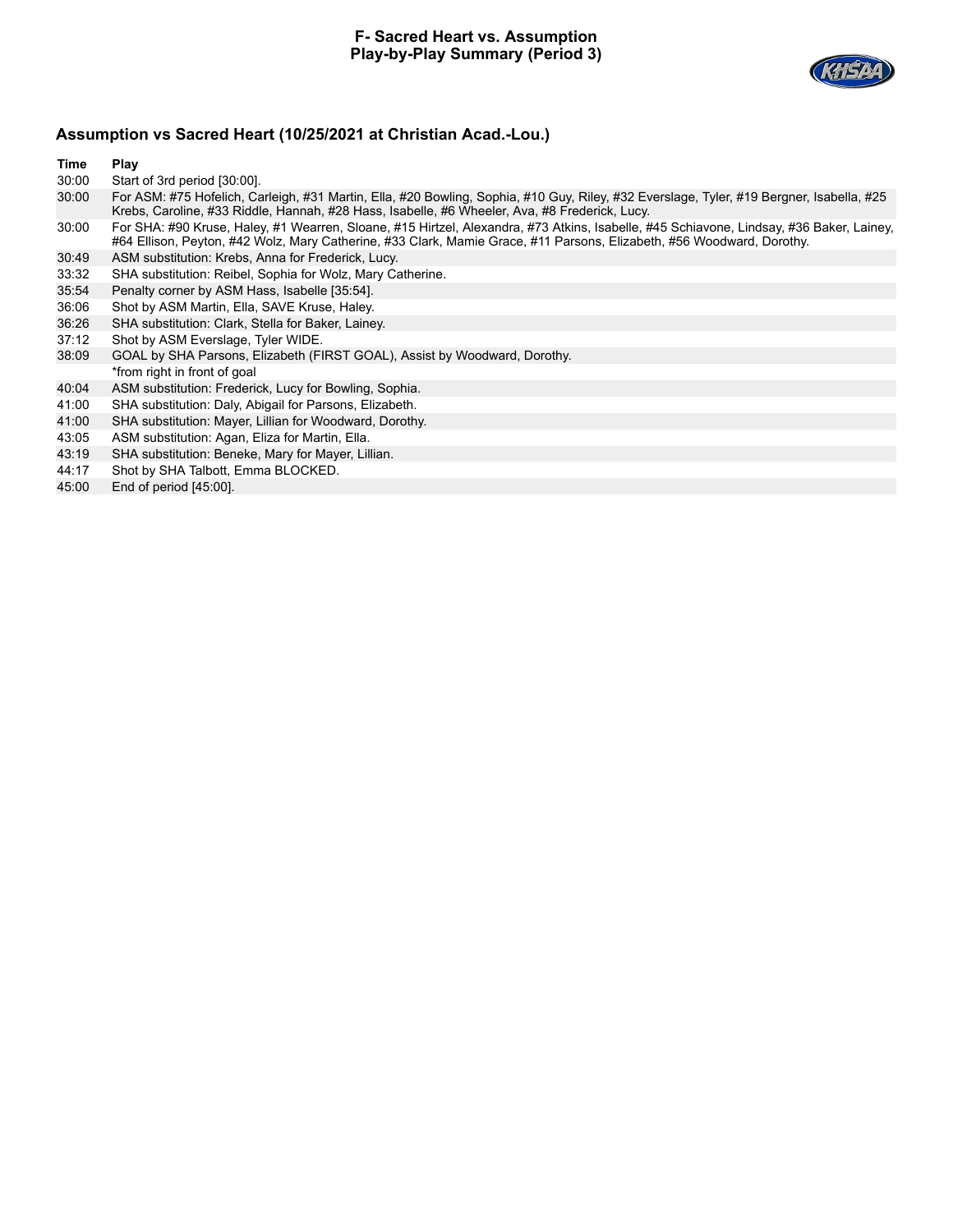

- 30:00 Start of 3rd period [30:00].
- 30:00 For ASM: #75 Hofelich, Carleigh, #31 Martin, Ella, #20 Bowling, Sophia, #10 Guy, Riley, #32 Everslage, Tyler, #19 Bergner, Isabella, #25 Krebs, Caroline, #33 Riddle, Hannah, #28 Hass, Isabelle, #6 Wheeler, Ava, #8 Frederick, Lucy.
- 30:00 For SHA: #90 Kruse, Haley, #1 Wearren, Sloane, #15 Hirtzel, Alexandra, #73 Atkins, Isabelle, #45 Schiavone, Lindsay, #36 Baker, Lainey, #64 Ellison, Peyton, #42 Wolz, Mary Catherine, #33 Clark, Mamie Grace, #11 Parsons, Elizabeth, #56 Woodward, Dorothy.
- 30:49 ASM substitution: Krebs, Anna for Frederick, Lucy.
- 33:32 SHA substitution: Reibel, Sophia for Wolz, Mary Catherine.
- 35:54 Penalty corner by ASM Hass, Isabelle [35:54].
- 36:06 Shot by ASM Martin, Ella, SAVE Kruse, Haley.
- 36:26 SHA substitution: Clark, Stella for Baker, Lainey.
- 37:12 Shot by ASM Everslage, Tyler WIDE.
- 38:09 GOAL by SHA Parsons, Elizabeth (FIRST GOAL), Assist by Woodward, Dorothy. \*from right in front of goal
- 40:04 ASM substitution: Frederick, Lucy for Bowling, Sophia.
- 41:00 SHA substitution: Daly, Abigail for Parsons, Elizabeth.
- 41:00 SHA substitution: Mayer, Lillian for Woodward, Dorothy.
- 43:05 ASM substitution: Agan, Eliza for Martin, Ella.
- 43:19 SHA substitution: Beneke, Mary for Mayer, Lillian.
- 44:17 Shot by SHA Talbott, Emma BLOCKED.
- 45:00 End of period [45:00].